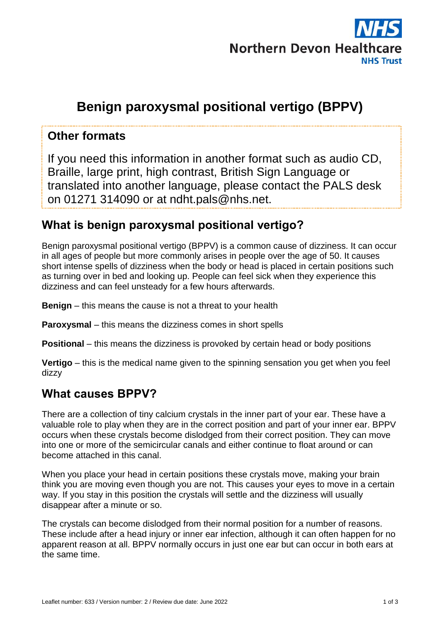

# **Benign paroxysmal positional vertigo (BPPV)**

#### **Other formats**

If you need this information in another format such as audio CD, Braille, large print, high contrast, British Sign Language or translated into another language, please contact the PALS desk on 01271 314090 or at ndht.pals@nhs.net.

#### **What is benign paroxysmal positional vertigo?**

Benign paroxysmal positional vertigo (BPPV) is a common cause of dizziness. It can occur in all ages of people but more commonly arises in people over the age of 50. It causes short intense spells of dizziness when the body or head is placed in certain positions such as turning over in bed and looking up. People can feel sick when they experience this dizziness and can feel unsteady for a few hours afterwards.

**Benign** – this means the cause is not a threat to your health

**Paroxysmal** – this means the dizziness comes in short spells

**Positional** – this means the dizziness is provoked by certain head or body positions

**Vertigo** – this is the medical name given to the spinning sensation you get when you feel dizzy

#### **What causes BPPV?**

There are a collection of tiny calcium crystals in the inner part of your ear. These have a valuable role to play when they are in the correct position and part of your inner ear. BPPV occurs when these crystals become dislodged from their correct position. They can move into one or more of the semicircular canals and either continue to float around or can become attached in this canal.

When you place your head in certain positions these crystals move, making your brain think you are moving even though you are not. This causes your eyes to move in a certain way. If you stay in this position the crystals will settle and the dizziness will usually disappear after a minute or so.

The crystals can become dislodged from their normal position for a number of reasons. These include after a head injury or inner ear infection, although it can often happen for no apparent reason at all. BPPV normally occurs in just one ear but can occur in both ears at the same time.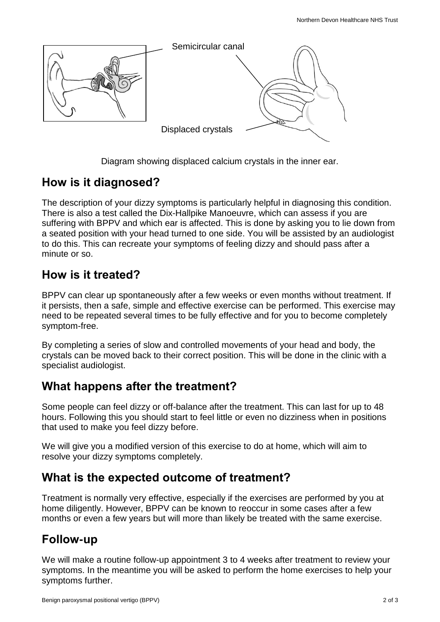

Diagram showing displaced calcium crystals in the inner ear.

#### **How is it diagnosed?**

The description of your dizzy symptoms is particularly helpful in diagnosing this condition. There is also a test called the Dix-Hallpike Manoeuvre, which can assess if you are suffering with BPPV and which ear is affected. This is done by asking you to lie down from a seated position with your head turned to one side. You will be assisted by an audiologist to do this. This can recreate your symptoms of feeling dizzy and should pass after a minute or so.

#### **How is it treated?**

BPPV can clear up spontaneously after a few weeks or even months without treatment. If it persists, then a safe, simple and effective exercise can be performed. This exercise may need to be repeated several times to be fully effective and for you to become completely symptom-free.

By completing a series of slow and controlled movements of your head and body, the crystals can be moved back to their correct position. This will be done in the clinic with a specialist audiologist.

### **What happens after the treatment?**

Some people can feel dizzy or off-balance after the treatment. This can last for up to 48 hours. Following this you should start to feel little or even no dizziness when in positions that used to make you feel dizzy before.

We will give you a modified version of this exercise to do at home, which will aim to resolve your dizzy symptoms completely.

### **What is the expected outcome of treatment?**

Treatment is normally very effective, especially if the exercises are performed by you at home diligently. However, BPPV can be known to reoccur in some cases after a few months or even a few years but will more than likely be treated with the same exercise.

### **Follow-up**

We will make a routine follow-up appointment 3 to 4 weeks after treatment to review your symptoms. In the meantime you will be asked to perform the home exercises to help your symptoms further.